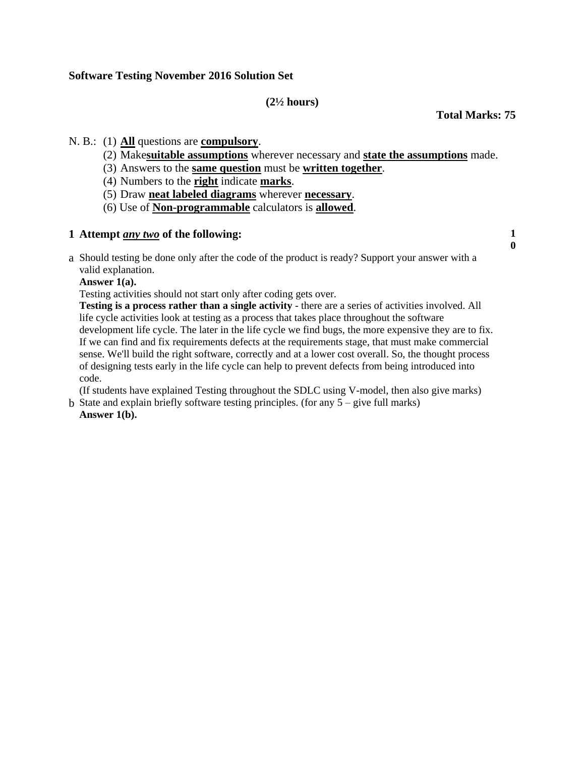# **Software Testing November 2016 Solution Set**

## **(2½ hours)**

**Total Marks: 75**

# N. B.: (1) **All** questions are **compulsory**.

- (2) Make**suitable assumptions** wherever necessary and **state the assumptions** made.
- (3) Answers to the **same question** must be **written together**.
- (4) Numbers to the **right** indicate **marks**.
- (5) Draw **neat labeled diagrams** wherever **necessary**.
- (6) Use of **Non-programmable** calculators is **allowed**.

# **1. Attempt** *any two* **of the following: 1**

**0**

a. Should testing be done only after the code of the product is ready? Support your answer with a valid explanation.

**Answer 1(a).**

Testing activities should not start only after coding gets over.

**Testing is a process rather than a single activity** - there are a series of activities involved. All life cycle activities look at testing as a process that takes place throughout the software development life cycle. The later in the life cycle we find bugs, the more expensive they are to fix. If we can find and fix requirements defects at the requirements stage, that must make commercial sense. We'll build the right software, correctly and at a lower cost overall. So, the thought process of designing tests early in the life cycle can help to prevent defects from being introduced into code.

(If students have explained Testing throughout the SDLC using V-model, then also give marks)

b. State and explain briefly software testing principles. (for any  $5 -$  give full marks) **Answer 1(b).**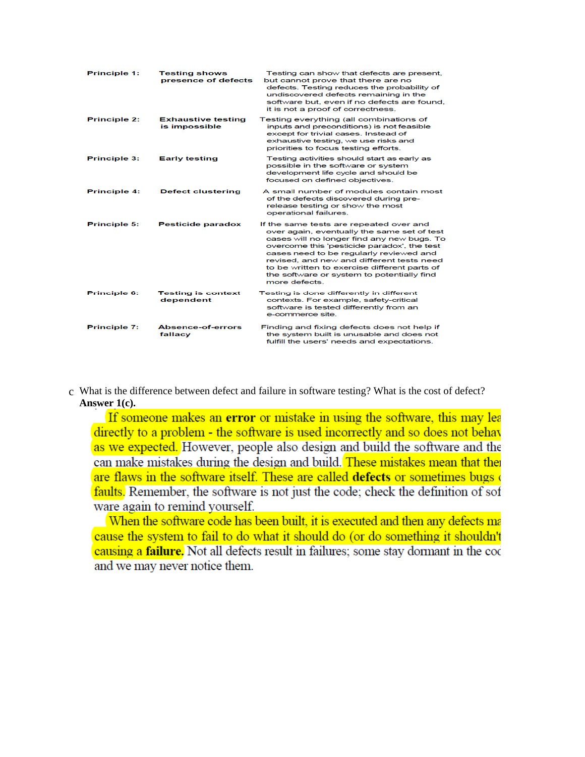| <b>Principle 1:</b> | <b>Testing shows</b><br>presence of defects | Testing can show that defects are present,<br>but cannot prove that there are no<br>defects. Testing reduces the probability of<br>undiscovered defects remaining in the<br>software but, even if no defects are found,<br>it is not a proof of correctness.                                                                                                                               |
|---------------------|---------------------------------------------|--------------------------------------------------------------------------------------------------------------------------------------------------------------------------------------------------------------------------------------------------------------------------------------------------------------------------------------------------------------------------------------------|
| <b>Principle 2:</b> | <b>Exhaustive testing</b><br>is impossible  | Testing everything (all combinations of<br>inputs and preconditions) is not feasible<br>except for trivial cases. Instead of<br>exhaustive testing, we use risks and<br>priorities to focus testing efforts.                                                                                                                                                                               |
| <b>Principle 3:</b> | <b>Early testing</b>                        | Testing activities should start as early as<br>possible in the software or system<br>development life cycle and should be<br>focused on defined objectives.                                                                                                                                                                                                                                |
| <b>Principle 4:</b> | <b>Defect clustering</b>                    | A small number of modules contain most<br>of the defects discovered during pre-<br>release testing or show the most<br>operational failures.                                                                                                                                                                                                                                               |
| <b>Principle 5:</b> | <b>Pesticide paradox</b>                    | If the same tests are repeated over and<br>over again, eventually the same set of test<br>cases will no longer find any new bugs. To<br>overcome this 'pesticide paradox', the test<br>cases need to be regularly reviewed and<br>revised, and new and different tests need<br>to be written to exercise different parts of<br>the software or system to potentially find<br>more defects. |
| Principle 6:        | <b>Testing is context</b><br>dependent      | Testing is done differently in different<br>contexts. For example, safety-critical<br>software is tested differently from an<br>e-commerce site.                                                                                                                                                                                                                                           |
| <b>Principle 7:</b> | <b>Absence-of-errors</b><br>fallacy         | Finding and fixing defects does not help if<br>the system built is unusable and does not<br>fulfill the users' needs and expectations                                                                                                                                                                                                                                                      |

## c. What is the difference between defect and failure in software testing? What is the cost of defect? **Answer 1(c).**

If someone makes an error or mistake in using the software, this may lea directly to a problem - the software is used incorrectly and so does not behave as we expected. However, people also design and build the software and the can make mistakes during the design and build. These mistakes mean that the are flaws in the software itself. These are called defects or sometimes bugs of faults. Remember, the software is not just the code; check the definition of sof ware again to remind yourself.

When the software code has been built, it is executed and then any defects ma cause the system to fail to do what it should do (or do something it shouldn't causing a **failure.** Not all defects result in failures; some stay dormant in the coc and we may never notice them.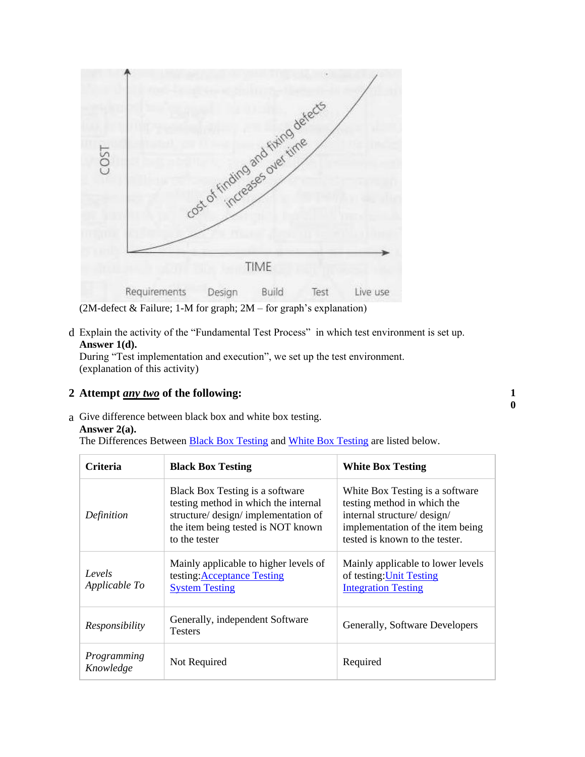

(2M-defect & Failure; 1-M for graph; 2M – for graph's explanation)

d. Explain the activity of the "Fundamental Test Process" in which test environment is set up. **Answer 1(d).**

During "Test implementation and execution", we set up the test environment. (explanation of this activity)

# **2. Attempt** *any two* **of the following: 1**

a. Give difference between black box and white box testing.

## **Answer 2(a).**

The Differences Between **[Black Box Testing](http://softwaretestingfundamentals.com/black-box-testing/) and [White Box Testing](http://softwaretestingfundamentals.com/white-box-testing/)** are listed below.

| Criteria                 | <b>Black Box Testing</b>                                                                                                                                               | <b>White Box Testing</b>                                                                                                                                            |
|--------------------------|------------------------------------------------------------------------------------------------------------------------------------------------------------------------|---------------------------------------------------------------------------------------------------------------------------------------------------------------------|
| Definition               | Black Box Testing is a software<br>testing method in which the internal<br>structure/ design/ implementation of<br>the item being tested is NOT known<br>to the tester | White Box Testing is a software<br>testing method in which the<br>internal structure/ design/<br>implementation of the item being<br>tested is known to the tester. |
| Levels<br>Applicable To  | Mainly applicable to higher levels of<br>testing: Acceptance Testing<br><b>System Testing</b>                                                                          | Mainly applicable to lower levels<br>of testing: Unit Testing<br><b>Integration Testing</b>                                                                         |
| Responsibility           | Generally, independent Software<br><b>Testers</b>                                                                                                                      | Generally, Software Developers                                                                                                                                      |
| Programming<br>Knowledge | Not Required                                                                                                                                                           | Required                                                                                                                                                            |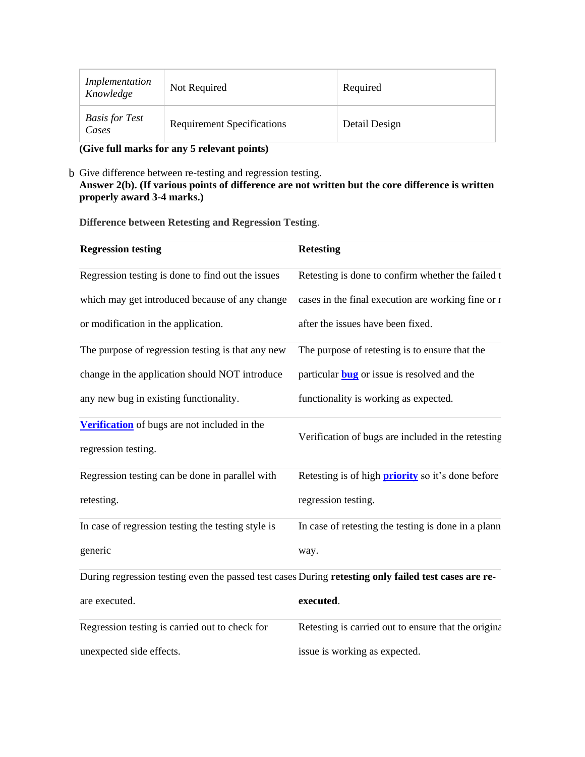| Implementation<br>Knowledge    | Not Required                      | Required      |
|--------------------------------|-----------------------------------|---------------|
| <b>Basis for Test</b><br>Cases | <b>Requirement Specifications</b> | Detail Design |

**(Give full marks for any 5 relevant points)**

## b. Give difference between re-testing and regression testing. **Answer 2(b). (If various points of difference are not written but the core difference is written properly award 3-4 marks.)**

**Difference between Retesting and Regression Testing**.

| <b>Regression testing</b>                                                                            | <b>Retesting</b>                                         |
|------------------------------------------------------------------------------------------------------|----------------------------------------------------------|
| Regression testing is done to find out the issues                                                    | Retesting is done to confirm whether the failed t        |
| which may get introduced because of any change                                                       | cases in the final execution are working fine or r       |
| or modification in the application.                                                                  | after the issues have been fixed.                        |
| The purpose of regression testing is that any new                                                    | The purpose of retesting is to ensure that the           |
| change in the application should NOT introduce                                                       | particular <b>bug</b> or issue is resolved and the       |
| any new bug in existing functionality.                                                               | functionality is working as expected.                    |
| Verification of bugs are not included in the<br>regression testing.                                  | Verification of bugs are included in the retesting       |
| Regression testing can be done in parallel with                                                      | Retesting is of high <b>priority</b> so it's done before |
| retesting.                                                                                           | regression testing.                                      |
| In case of regression testing the testing style is                                                   | In case of retesting the testing is done in a plann      |
| generic                                                                                              | way.                                                     |
| During regression testing even the passed test cases During retesting only failed test cases are re- |                                                          |
| are executed.                                                                                        | executed.                                                |
| Regression testing is carried out to check for                                                       | Retesting is carried out to ensure that the original     |
| unexpected side effects.                                                                             | issue is working as expected.                            |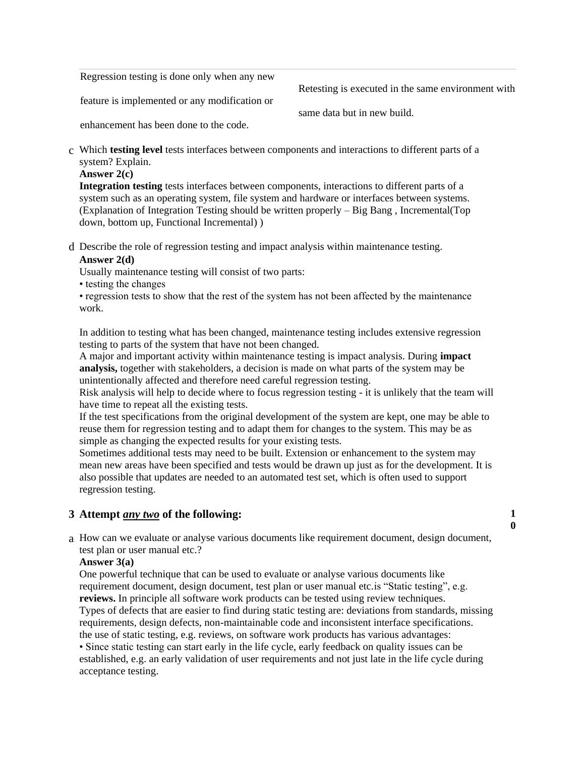Regression testing is done only when any new

feature is implemented or any modification or

Retesting is executed in the same environment with

same data but in new build.

enhancement has been done to the code.

c. Which **testing level** tests interfaces between components and interactions to different parts of a system? Explain.

#### **Answer 2(c)**

**Integration testing** tests interfaces between components, interactions to different parts of a system such as an operating system, file system and hardware or interfaces between systems. (Explanation of Integration Testing should be written properly – Big Bang , Incremental(Top down, bottom up, Functional Incremental) )

d. Describe the role of regression testing and impact analysis within maintenance testing.

# **Answer 2(d)**

Usually maintenance testing will consist of two parts:

• testing the changes

• regression tests to show that the rest of the system has not been affected by the maintenance work.

In addition to testing what has been changed, maintenance testing includes extensive regression testing to parts of the system that have not been changed.

A major and important activity within maintenance testing is impact analysis. During **impact analysis,** together with stakeholders, a decision is made on what parts of the system may be unintentionally affected and therefore need careful regression testing.

Risk analysis will help to decide where to focus regression testing - it is unlikely that the team will have time to repeat all the existing tests.

If the test specifications from the original development of the system are kept, one may be able to reuse them for regression testing and to adapt them for changes to the system. This may be as simple as changing the expected results for your existing tests.

Sometimes additional tests may need to be built. Extension or enhancement to the system may mean new areas have been specified and tests would be drawn up just as for the development. It is also possible that updates are needed to an automated test set, which is often used to support regression testing.

## **3. Attempt** *any two* **of the following: 1**

a. How can we evaluate or analyse various documents like requirement document, design document, test plan or user manual etc.?

## **Answer 3(a)**

One powerful technique that can be used to evaluate or analyse various documents like requirement document, design document, test plan or user manual etc.is "Static testing", e.g. **reviews.** In principle all software work products can be tested using review techniques. Types of defects that are easier to find during static testing are: deviations from standards, missing requirements, design defects, non-maintainable code and inconsistent interface specifications.

the use of static testing, e.g. reviews, on software work products has various advantages:

• Since static testing can start early in the life cycle, early feedback on quality issues can be established, e.g. an early validation of user requirements and not just late in the life cycle during acceptance testing.

**0**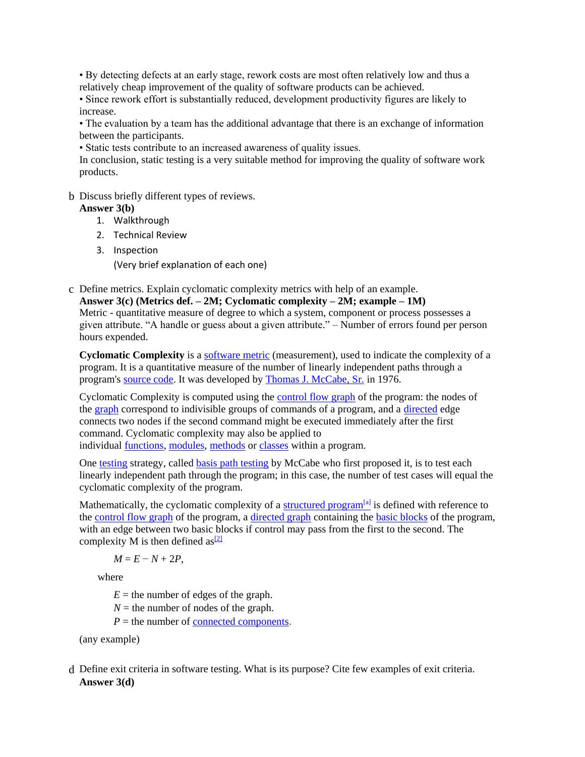• By detecting defects at an early stage, rework costs are most often relatively low and thus a relatively cheap improvement of the quality of software products can be achieved.

• Since rework effort is substantially reduced, development productivity figures are likely to increase.

• The evaluation by a team has the additional advantage that there is an exchange of information between the participants.

• Static tests contribute to an increased awareness of quality issues.

In conclusion, static testing is a very suitable method for improving the quality of software work products.

## b. Discuss briefly different types of reviews.

## **Answer 3(b)**

- 1. Walkthrough
- 2. Technical Review
- 3. Inspection (Very brief explanation of each one)
- c. Define metrics. Explain cyclomatic complexity metrics with help of an example.

**Answer 3(c) (Metrics def. – 2M; Cyclomatic complexity – 2M; example – 1M)** Metric - quantitative measure of degree to which a system, component or process possesses a given attribute. "A handle or guess about a given attribute." – Number of errors found per person hours expended.

**Cyclomatic Complexity** is a [software metric](https://en.wikipedia.org/wiki/Software_metric) (measurement), used to indicate the complexity of a program. It is a quantitative measure of the number of linearly independent paths through a program's [source code.](https://en.wikipedia.org/wiki/Source_code) It was developed by [Thomas J. McCabe, Sr.](https://en.wikipedia.org/w/index.php?title=Thomas_J._McCabe,_Sr.&action=edit&redlink=1) in 1976.

Cyclomatic Complexity is computed using the [control flow graph](https://en.wikipedia.org/wiki/Control_flow_graph) of the program: the nodes of the [graph](https://en.wikipedia.org/wiki/Graph_(discrete_mathematics)) correspond to indivisible groups of commands of a program, and a [directed](https://en.wikipedia.org/wiki/Directed_graph) edge connects two nodes if the second command might be executed immediately after the first command. Cyclomatic complexity may also be applied to individual [functions,](https://en.wikipedia.org/wiki/Function_(computer_science)) [modules,](https://en.wikipedia.org/wiki/Modular_programming) [methods](https://en.wikipedia.org/wiki/Method_(computer_science)) or [classes](https://en.wikipedia.org/wiki/Class_(computer_science)) within a program.

One [testing](https://en.wikipedia.org/wiki/Software_testing) strategy, called [basis path testing](https://en.wikipedia.org/wiki/Basis_path_testing) by McCabe who first proposed it, is to test each linearly independent path through the program; in this case, the number of test cases will equal the cyclomatic complexity of the program.

Mathematically, the cyclomatic complexity of a [structured program](https://en.wikipedia.org/wiki/Structured_programming)<sup>[\[a\]](https://en.wikipedia.org/wiki/Structured_programming)</sup> is defined with reference to the [control flow graph](https://en.wikipedia.org/wiki/Control_flow_graph) of the program, a [directed graph](https://en.wikipedia.org/wiki/Directed_graph) containing the [basic blocks](https://en.wikipedia.org/wiki/Basic_block) of the program, with an edge between two basic blocks if control may pass from the first to the second. The complexity M is then defined as  $\frac{[2]}{[2]}$  $\frac{[2]}{[2]}$  $\frac{[2]}{[2]}$ 

 $M = E - N + 2P$ ,

where

 $E =$  the number of edges of the graph.

 $N =$  the number of nodes of the graph.

 $P =$  the number of [connected components](https://en.wikipedia.org/wiki/Connected_component_(graph_theory)).

(any example)

d. Define exit criteria in software testing. What is its purpose? Cite few examples of exit criteria. **Answer 3(d)**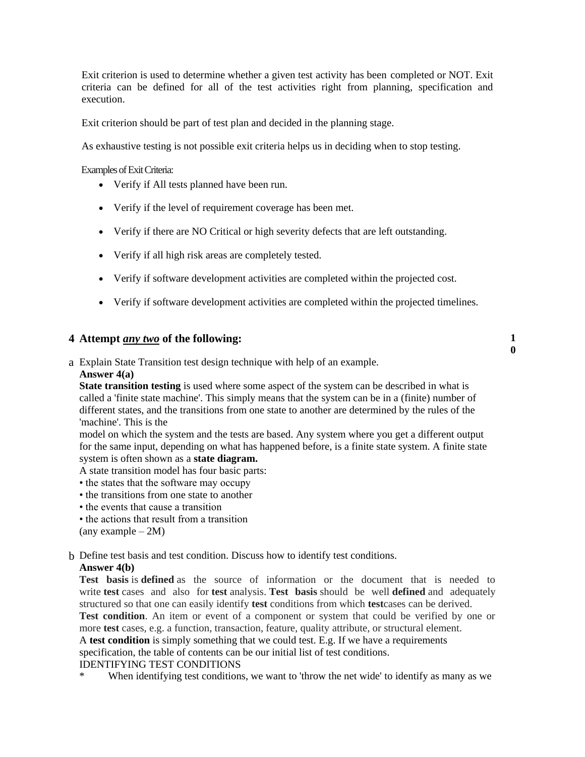Exit criterion is used to determine whether a given test activity has been completed or NOT. Exit criteria can be defined for all of the test activities right from planning, specification and execution.

Exit criterion should be part of test plan and decided in the planning stage.

As exhaustive testing is not possible exit criteria helps us in deciding when to stop testing.

Examples of Exit Criteria:

- Verify if All tests planned have been run.
- Verify if the level of requirement coverage has been met.
- Verify if there are NO Critical or high severity defects that are left outstanding.
- Verify if all high risk areas are completely tested.
- Verify if software development activities are completed within the projected cost.
- Verify if software development activities are completed within the projected timelines.

**0**

## **4. Attempt** *any two* **of the following: 1**

a. Explain State Transition test design technique with help of an example.

#### **Answer 4(a)**

**State transition testing** is used where some aspect of the system can be described in what is called a 'finite state machine'. This simply means that the system can be in a (finite) number of different states, and the transitions from one state to another are determined by the rules of the 'machine'. This is the

model on which the system and the tests are based. Any system where you get a different output for the same input, depending on what has happened before, is a finite state system. A finite state system is often shown as a **state diagram.**

A state transition model has four basic parts:

- the states that the software may occupy
- the transitions from one state to another
- the events that cause a transition
- the actions that result from a transition

(any example  $-2M$ )

b. Define test basis and test condition. Discuss how to identify test conditions.

#### **Answer 4(b)**

**Test basis** is **defined** as the source of information or the document that is needed to write **test** cases and also for **test** analysis. **Test basis** should be well **defined** and adequately structured so that one can easily identify **test** conditions from which **test**cases can be derived.

Test condition. An item or event of a component or system that could be verified by one or more **test** cases, e.g. a function, transaction, feature, quality attribute, or structural element.

A **test condition** is simply something that we could test. E.g. If we have a requirements

specification, the table of contents can be our initial list of test conditions.

#### IDENTIFYING TEST CONDITIONS

When identifying test conditions, we want to 'throw the net wide' to identify as many as we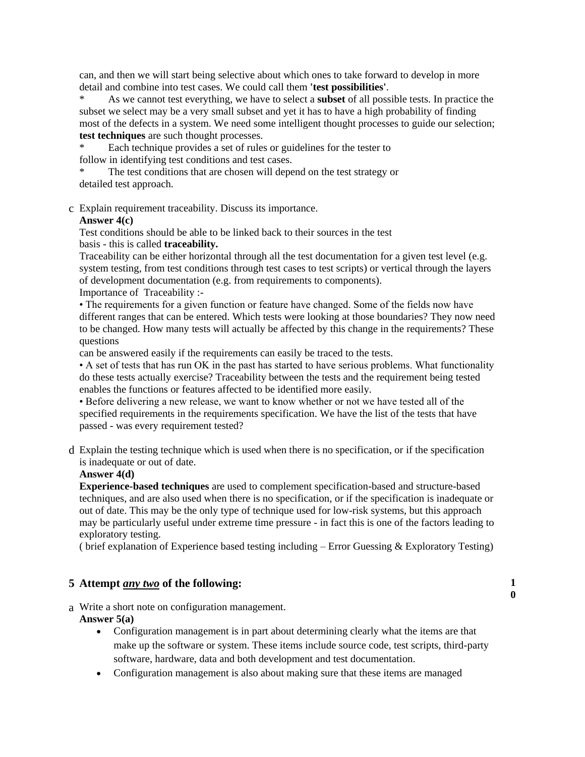can, and then we will start being selective about which ones to take forward to develop in more detail and combine into test cases. We could call them **'test possibilities'**.

\* As we cannot test everything, we have to select a **subset** of all possible tests. In practice the subset we select may be a very small subset and yet it has to have a high probability of finding most of the defects in a system. We need some intelligent thought processes to guide our selection; **test techniques** are such thought processes.

Each technique provides a set of rules or guidelines for the tester to follow in identifying test conditions and test cases.

The test conditions that are chosen will depend on the test strategy or detailed test approach.

c. Explain requirement traceability. Discuss its importance.

#### **Answer 4(c)**

Test conditions should be able to be linked back to their sources in the test basis - this is called **traceability.**

Traceability can be either horizontal through all the test documentation for a given test level (e.g. system testing, from test conditions through test cases to test scripts) or vertical through the layers of development documentation (e.g. from requirements to components). Importance of Traceability :-

• The requirements for a given function or feature have changed. Some of the fields now have different ranges that can be entered. Which tests were looking at those boundaries? They now need to be changed. How many tests will actually be affected by this change in the requirements? These questions

can be answered easily if the requirements can easily be traced to the tests.

• A set of tests that has run OK in the past has started to have serious problems. What functionality do these tests actually exercise? Traceability between the tests and the requirement being tested enables the functions or features affected to be identified more easily.

• Before delivering a new release, we want to know whether or not we have tested all of the specified requirements in the requirements specification. We have the list of the tests that have passed - was every requirement tested?

d. Explain the testing technique which is used when there is no specification, or if the specification is inadequate or out of date.

### **Answer 4(d)**

**Experience-based techniques** are used to complement specification-based and structure-based techniques, and are also used when there is no specification, or if the specification is inadequate or out of date. This may be the only type of technique used for low-risk systems, but this approach may be particularly useful under extreme time pressure - in fact this is one of the factors leading to exploratory testing.

( brief explanation of Experience based testing including  $-$  Error Guessing  $\&$  Exploratory Testing)

## **5. Attempt** *any two* **of the following: 1**

a. Write a short note on configuration management.

## **Answer 5(a)**

 Configuration management is in part about determining clearly what the items are that make up the software or system. These items include source code, test scripts, third-party software, hardware, data and both development and test documentation.

**0**

Configuration management is also about making sure that these items are managed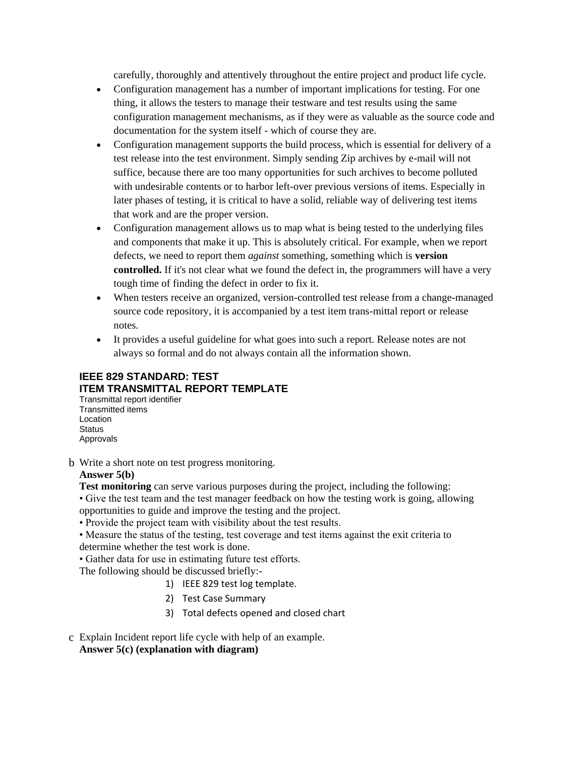carefully, thoroughly and attentively throughout the entire project and product life cycle.

- Configuration management has a number of important implications for testing. For one thing, it allows the testers to manage their testware and test results using the same configuration management mechanisms, as if they were as valuable as the source code and documentation for the system itself - which of course they are.
- Configuration management supports the build process, which is essential for delivery of a test release into the test environment. Simply sending Zip archives by e-mail will not suffice, because there are too many opportunities for such archives to become polluted with undesirable contents or to harbor left-over previous versions of items. Especially in later phases of testing, it is critical to have a solid, reliable way of delivering test items that work and are the proper version.
- Configuration management allows us to map what is being tested to the underlying files and components that make it up. This is absolutely critical. For example, when we report defects, we need to report them *against* something, something which is **version controlled.** If it's not clear what we found the defect in, the programmers will have a very tough time of finding the defect in order to fix it.
- When testers receive an organized, version-controlled test release from a change-managed source code repository, it is accompanied by a test item trans-mittal report or release notes.
- It provides a useful guideline for what goes into such a report. Release notes are not always so formal and do not always contain all the information shown.

# **IEEE 829 STANDARD: TEST ITEM TRANSMITTAL REPORT TEMPLATE**

Transmittal report identifier Transmitted items Location **Status** Approvals

b. Write a short note on test progress monitoring.

## **Answer 5(b)**

**Test monitoring** can serve various purposes during the project, including the following:

- Give the test team and the test manager feedback on how the testing work is going, allowing opportunities to guide and improve the testing and the project.
- Provide the project team with visibility about the test results.
- Measure the status of the testing, test coverage and test items against the exit criteria to determine whether the test work is done.
- Gather data for use in estimating future test efforts.
- The following should be discussed briefly:-
	- 1) IEEE 829 test log template.
	- 2) Test Case Summary
	- 3) Total defects opened and closed chart
- c. Explain Incident report life cycle with help of an example. **Answer 5(c) (explanation with diagram)**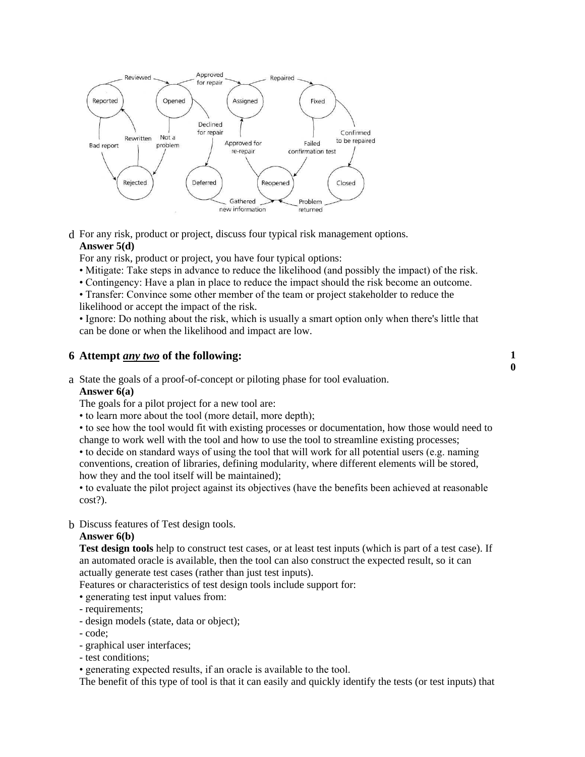

d. For any risk, product or project, discuss four typical risk management options. **Answer 5(d)**

For any risk, product or project, you have four typical options:

- Mitigate: Take steps in advance to reduce the likelihood (and possibly the impact) of the risk.
- Contingency: Have a plan in place to reduce the impact should the risk become an outcome.
- Transfer: Convince some other member of the team or project stakeholder to reduce the likelihood or accept the impact of the risk.

• Ignore: Do nothing about the risk, which is usually a smart option only when there's little that can be done or when the likelihood and impact are low.

#### **6. Attempt** *any two* **of the following: 1**

a. State the goals of a proof-of-concept or piloting phase for tool evaluation.

#### **Answer 6(a)**

The goals for a pilot project for a new tool are:

- to learn more about the tool (more detail, more depth);
- to see how the tool would fit with existing processes or documentation, how those would need to change to work well with the tool and how to use the tool to streamline existing processes;

**0**

- to decide on standard ways of using the tool that will work for all potential users (e.g. naming conventions, creation of libraries, defining modularity, where different elements will be stored, how they and the tool itself will be maintained);
- to evaluate the pilot project against its objectives (have the benefits been achieved at reasonable cost?).

#### b. Discuss features of Test design tools.

#### **Answer 6(b)**

**Test design tools** help to construct test cases, or at least test inputs (which is part of a test case). If an automated oracle is available, then the tool can also construct the expected result, so it can actually generate test cases (rather than just test inputs).

Features or characteristics of test design tools include support for:

- generating test input values from:
- requirements;
- design models (state, data or object);
- code;
- graphical user interfaces;
- test conditions;

• generating expected results, if an oracle is available to the tool.

The benefit of this type of tool is that it can easily and quickly identify the tests (or test inputs) that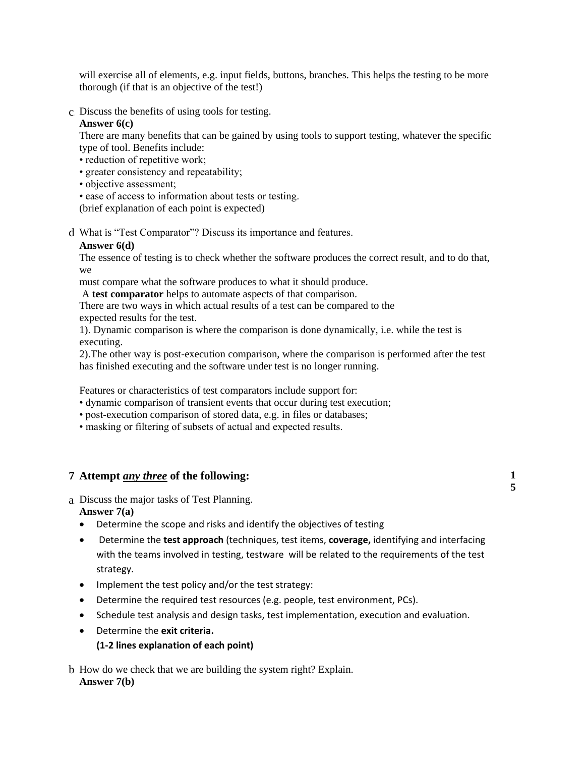will exercise all of elements, e.g. input fields, buttons, branches. This helps the testing to be more thorough (if that is an objective of the test!)

c. Discuss the benefits of using tools for testing.

## **Answer 6(c)**

There are many benefits that can be gained by using tools to support testing, whatever the specific type of tool. Benefits include:

- reduction of repetitive work;
- greater consistency and repeatability;
- objective assessment;
- ease of access to information about tests or testing.

(brief explanation of each point is expected)

d. What is "Test Comparator"? Discuss its importance and features.

#### **Answer 6(d)**

The essence of testing is to check whether the software produces the correct result, and to do that, we

must compare what the software produces to what it should produce.

A **test comparator** helps to automate aspects of that comparison.

There are two ways in which actual results of a test can be compared to the expected results for the test.

1). Dynamic comparison is where the comparison is done dynamically, i.e. while the test is executing.

2).The other way is post-execution comparison, where the comparison is performed after the test has finished executing and the software under test is no longer running.

Features or characteristics of test comparators include support for:

- dynamic comparison of transient events that occur during test execution;
- post-execution comparison of stored data, e.g. in files or databases;
- masking or filtering of subsets of actual and expected results.

## **7. Attempt** *any three* **of the following: 1**

a. Discuss the major tasks of Test Planning.

**Answer 7(a)**

- Determine the scope and risks and identify the objectives of testing
- Determine the **test approach** (techniques, test items, **coverage,** identifying and interfacing with the teams involved in testing, testware will be related to the requirements of the test strategy.
- Implement the test policy and/or the test strategy:
- Determine the required test resources (e.g. people, test environment, PCs).
- Schedule test analysis and design tasks, test implementation, execution and evaluation.
- Determine the **exit criteria.**

## **(1-2 lines explanation of each point)**

b. How do we check that we are building the system right? Explain. **Answer 7(b)**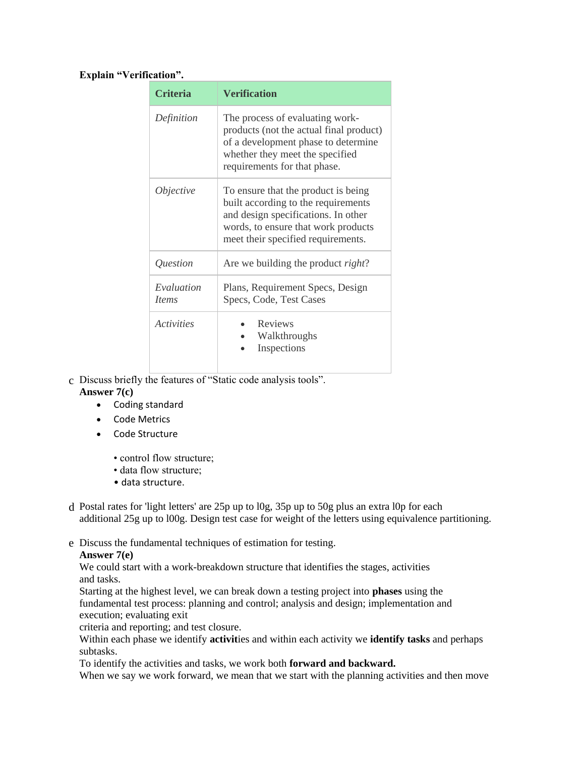## **Explain "Verification".**

| <b>Criteria</b>            | <b>Verification</b>                                                                                                                                                                            |  |
|----------------------------|------------------------------------------------------------------------------------------------------------------------------------------------------------------------------------------------|--|
| Definition                 | The process of evaluating work-<br>products (not the actual final product)<br>of a development phase to determine<br>whether they meet the specified<br>requirements for that phase.           |  |
| <i>Objective</i>           | To ensure that the product is being<br>built according to the requirements<br>and design specifications. In other<br>words, to ensure that work products<br>meet their specified requirements. |  |
| Question                   | Are we building the product <i>right</i> ?                                                                                                                                                     |  |
| Evaluation<br><i>Items</i> | Plans, Requirement Specs, Design<br>Specs, Code, Test Cases                                                                                                                                    |  |
| <i><u>Activities</u></i>   | Reviews<br>Walkthroughs<br>Inspections                                                                                                                                                         |  |

- c. Discuss briefly the features of "Static code analysis tools". **Answer 7(c)**
	- Coding standard
	- Code Metrics
	- Code Structure
		- control flow structure;
		- data flow structure;
		- data structure.
- d. Postal rates for 'light letters' are 25p up to l0g, 35p up to 50g plus an extra l0p for each additional 25g up to l00g. Design test case for weight of the letters using equivalence partitioning.
- e. Discuss the fundamental techniques of estimation for testing.

## **Answer 7(e)**

We could start with a work-breakdown structure that identifies the stages, activities and tasks.

Starting at the highest level, we can break down a testing project into **phases** using the fundamental test process: planning and control; analysis and design; implementation and execution; evaluating exit

criteria and reporting; and test closure.

Within each phase we identify **activit**ies and within each activity we **identify tasks** and perhaps subtasks.

To identify the activities and tasks, we work both **forward and backward.**

When we say we work forward, we mean that we start with the planning activities and then move